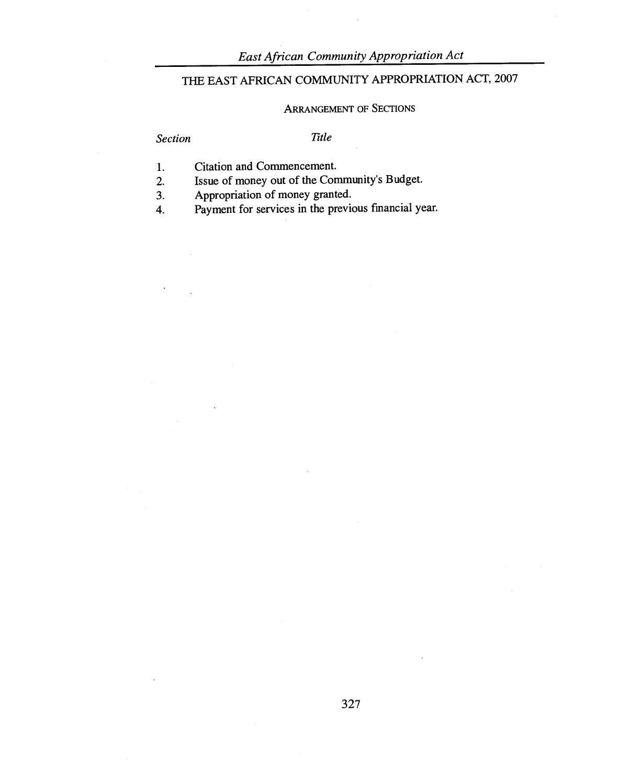# THE EAST AFRICAN COMMUNITY APPROPRIATION ACT, 2007

### ARRANGEMENT OF SECTIONS

## *Section Title*

- 1. Citation and Commencement.
- 2. Issue of money out of the Community's Budget.
- 
- 3. Appropriation of money granted.<br>4. Payment for services in the previo Payment for services in the previous financial year.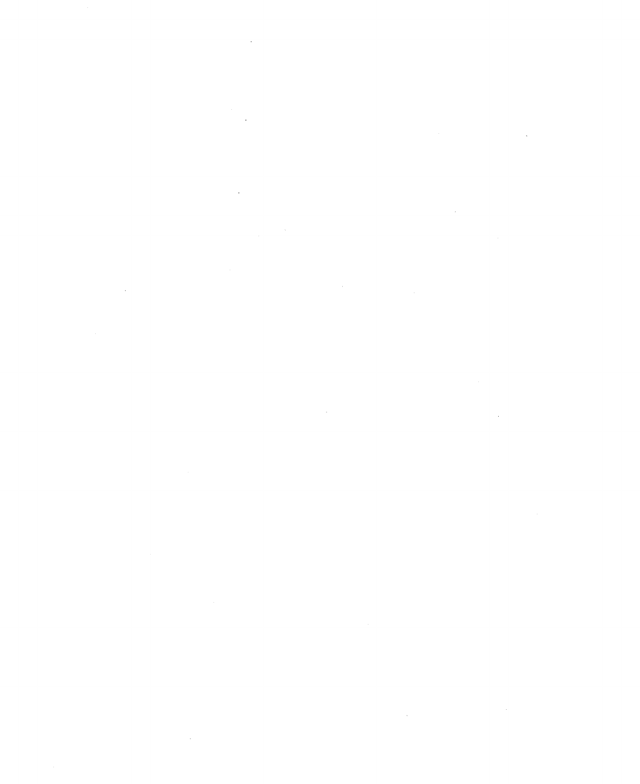$\label{eq:2.1} \mathcal{L}(\mathcal{L}^{\text{max}}_{\mathcal{L}}(\mathcal{L}^{\text{max}}_{\mathcal{L}})) \leq \mathcal{L}(\mathcal{L}^{\text{max}}_{\mathcal{L}}(\mathcal{L}^{\text{max}}_{\mathcal{L}}))$ 

 $\label{eq:2.1} \frac{1}{\sqrt{2\pi}}\int_{0}^{\infty} \frac{1}{\sqrt{2\pi}}\left(\frac{1}{\sqrt{2\pi}}\right)^{2\alpha} \frac{1}{\sqrt{2\pi}}\int_{0}^{\infty} \frac{1}{\sqrt{2\pi}}\left(\frac{1}{\sqrt{2\pi}}\right)^{\alpha} \frac{1}{\sqrt{2\pi}}\int_{0}^{\infty} \frac{1}{\sqrt{2\pi}}\frac{1}{\sqrt{2\pi}}\frac{1}{\sqrt{2\pi}}\frac{1}{\sqrt{2\pi}}\frac{1}{\sqrt{2\pi}}\frac{1}{\sqrt{2\pi}}\frac{1}{\sqrt$ 

 $\label{eq:2.1} \mathcal{L}(\mathcal{L}^{\text{max}}_{\mathcal{L}}(\mathcal{L}^{\text{max}}_{\mathcal{L}}(\mathcal{L}^{\text{max}}_{\mathcal{L}}(\mathcal{L}^{\text{max}}_{\mathcal{L}^{\text{max}}_{\mathcal{L}}})))))$  $\label{eq:2.1} \frac{1}{\sqrt{2}}\left(\frac{1}{\sqrt{2}}\right)^{2} \left(\frac{1}{\sqrt{2}}\right)^{2} \left(\frac{1}{\sqrt{2}}\right)^{2} \left(\frac{1}{\sqrt{2}}\right)^{2} \left(\frac{1}{\sqrt{2}}\right)^{2} \left(\frac{1}{\sqrt{2}}\right)^{2} \left(\frac{1}{\sqrt{2}}\right)^{2} \left(\frac{1}{\sqrt{2}}\right)^{2} \left(\frac{1}{\sqrt{2}}\right)^{2} \left(\frac{1}{\sqrt{2}}\right)^{2} \left(\frac{1}{\sqrt{2}}\right)^{2} \left(\$ 

 $\label{eq:2.1} \mathcal{L}(\mathcal{L}^{\text{max}}_{\mathcal{L}}(\mathcal{L}^{\text{max}}_{\mathcal{L}}),\mathcal{L}^{\text{max}}_{\mathcal{L}}(\mathcal{L}^{\text{max}}_{\mathcal{L}}))$  $\label{eq:2.1} \mathcal{L}(\mathcal{L}^{\text{max}}_{\mathcal{L}}(\mathcal{L}^{\text{max}}_{\mathcal{L}}),\mathcal{L}^{\text{max}}_{\mathcal{L}}(\mathcal{L}^{\text{max}}_{\mathcal{L}}))$ 

 $\mathcal{L}^{\text{max}}_{\text{max}}$  and  $\mathcal{L}^{\text{max}}_{\text{max}}$  $\sim 10^7$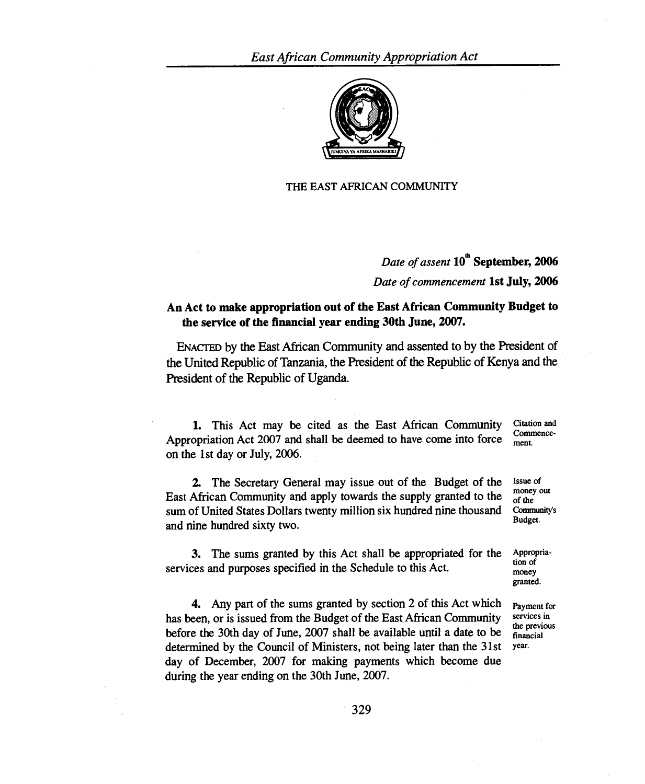

### THE EAST AFRICAN COMMUNITY

*Date of assent* **10th September, 2006**  *Date of commencement* **1st July, 2006** 

## **An Act to make appropriation out of the East African Community Budget to the service of the financial year ending 30th June, 2007.**

**ENACTED by the East African Community and assented to by the President of the United Republic of Tanzania, the President of the Republic of Kenya and the President of the Republic of Uganda.** 

1. This Act may be cited as the East African Community Appropriation Act 2007 and shall be deemed to have come into force on the 1st day or July, 2006.

2. The Secretary General may issue out of the Budget of the East African Community and apply towards the supply granted to the sum of United States Dollars twenty million six hundred nine thousand and nine hundred sixty two.

3. The sums granted by this Act shall be appropriated for the services and purposes specified in the Schedule to this Act.

4. Any part of the sums granted by section 2 of this Act which has been, or is issued from the Budget of the East African Community before the 30th day of June, 2007 shall be available until a date to be determined by the Council of Ministers, not being later than the 31st day of December, 2007 for making payments which become due during the year ending on the 30th June, 2007.

Citation and Commencement.

Issue of money out of the Community's Budget.

Appropriation of money granted.

Payment for services in the previous financial year.